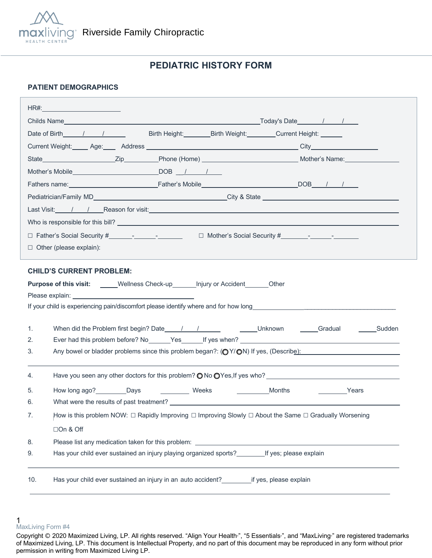

# **PEDIATRIC HISTORY FORM**

### **PATIENT DEMOGRAPHICS**

|    | HR#:____________________________                                                                                                                                                                                               |  |  |
|----|--------------------------------------------------------------------------------------------------------------------------------------------------------------------------------------------------------------------------------|--|--|
|    |                                                                                                                                                                                                                                |  |  |
|    | Date of Birth 1 1<br>Birth Height: Birth Weight: Current Height: Current Beight:                                                                                                                                               |  |  |
|    |                                                                                                                                                                                                                                |  |  |
|    |                                                                                                                                                                                                                                |  |  |
|    |                                                                                                                                                                                                                                |  |  |
|    |                                                                                                                                                                                                                                |  |  |
|    |                                                                                                                                                                                                                                |  |  |
|    | Last Visit: / / / Reason for visit: Network of the Contract of the Contract of the Contract of the Contract of the Contract of the Contract of the Contract of the Contract of the Contract of the Contract of the Contract of |  |  |
|    |                                                                                                                                                                                                                                |  |  |
|    |                                                                                                                                                                                                                                |  |  |
|    | $\Box$ Other (please explain):                                                                                                                                                                                                 |  |  |
|    |                                                                                                                                                                                                                                |  |  |
|    | <b>CHILD'S CURRENT PROBLEM:</b>                                                                                                                                                                                                |  |  |
|    | Purpose of this visit: _____Wellness Check-up_______Injury or Accident_______Other                                                                                                                                             |  |  |
|    |                                                                                                                                                                                                                                |  |  |
|    |                                                                                                                                                                                                                                |  |  |
|    |                                                                                                                                                                                                                                |  |  |
| 1. |                                                                                                                                                                                                                                |  |  |
| 2. | Ever had this problem before? No Yes If yes when? No Yes All the Control of the Control of the Control of the Control of the Control of the Control of the Control of the Control of the Control of the Control of the Control |  |  |
| 3. | Any bowel or bladder problems since this problem began?: $\left(\bigcirc Y/\bigcirc N\right)$ If yes, (Describe):                                                                                                              |  |  |
|    |                                                                                                                                                                                                                                |  |  |
| 4. |                                                                                                                                                                                                                                |  |  |
| 5. | How long ago? Days<br>Weeks<br>Months<br><b>Example 2</b> Years                                                                                                                                                                |  |  |
| 6. |                                                                                                                                                                                                                                |  |  |
| 7. | How is this problem NOW: □ Rapidly Improving □ Improving Slowly □ About the Same □ Gradually Worsening                                                                                                                         |  |  |
|    | □On & Off                                                                                                                                                                                                                      |  |  |
| 8. |                                                                                                                                                                                                                                |  |  |
| 9. | Has your child ever sustained an injury playing organized sports? If yes; please explain                                                                                                                                       |  |  |
|    |                                                                                                                                                                                                                                |  |  |

<sup>1</sup>  MaxLiving Form #4

Copyright © 2020 Maximized Living, LP. All rights reserved. "Align Your Health<sup>®</sup>, "5 Essentials<sup>®</sup>, and "MaxLiving<sup>®</sup> are registered trademarks of Maximized Living, LP. This document is Intellectual Property, and no part of this document may be reproduced in any form without prior permission in writing from Maximized Living LP.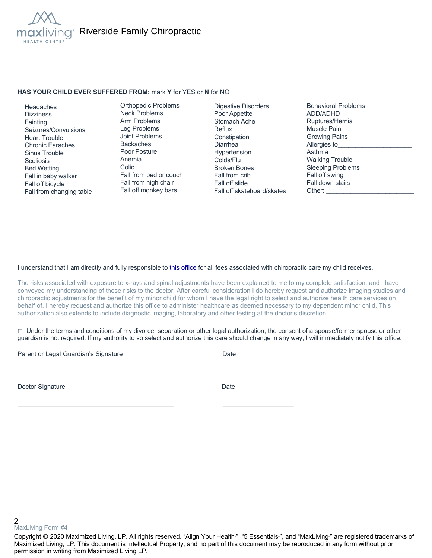

#### **HAS YOUR CHILD EVER SUFFERED FROM:** mark **Y** for YES or **N** for NO

 Headaches **Dizziness Fainting**  Seizures/Convulsions Heart Trouble Chronic Earaches Sinus Trouble **Scoliosis**  Bed Wetting Fall in baby walker Fall off bicycle Fall from changing table

Orthopedic Problems Neck Problems Arm Problems Leg Problems Joint Problems Backaches Poor Posture Anemia Colic Fall from bed or couch Fall from high chair Fall off monkey bars

Digestive Disorders Poor Appetite Stomach Ache Reflux **Constipation** Diarrhea Hypertension Colds/Flu Broken Bones Fall from crib Fall off slide Fall off skateboard/skates Behavioral Problems ADD/ADHD Ruptures/Hernia Muscle Pain Growing Pains Allergies to Asthma Walking Trouble Sleeping Problems Fall off swing Fall down stairs Other:

#### I understand that I am directly and fully responsible to this office for all fees associated with chiropractic care my child receives.

The risks associated with exposure to x-rays and spinal adjustments have been explained to me to my complete satisfaction, and I have conveyed my understanding of these risks to the doctor. After careful consideration I do hereby request and authorize imaging studies and chiropractic adjustments for the benefit of my minor child for whom I have the legal right to select and authorize health care services on behalf of. I hereby request and authorize this office to administer healthcare as deemed necessary to my dependent minor child. This authorization also extends to include diagnostic imaging, laboratory and other testing at the doctor's discretion.

 $\Box$  Under the terms and conditions of my divorce, separation or other legal authorization, the consent of a spouse/former spouse or other guardian is not required. If my authority to so select and authorize this care should change in any way, I will immediately notify this office.

Parent or Legal Guardian's Signature Date Date

Doctor Signature Date

2 MaxLiving Form #4

Copyright © 2020 Maximized Living, LP. All rights reserved. "Align Your Health<sub>"</sub>, "5 Essentials<sub>"</sub>, and "MaxLiving<sub>"</sub> are registered trademarks of Maximized Living, LP. This document is Intellectual Property, and no part of this document may be reproduced in any form without prior permission in writing from Maximized Living LP.